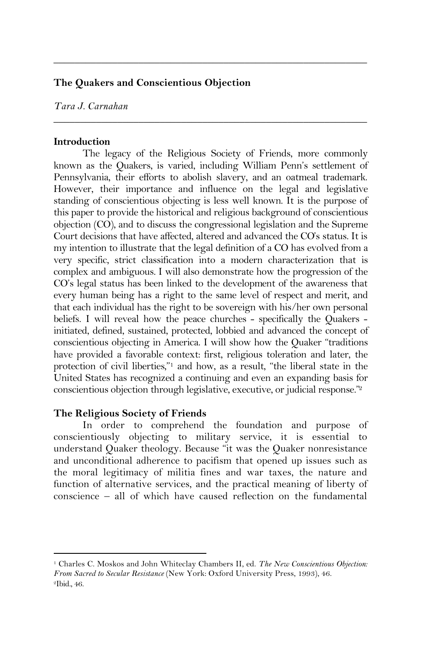# **The Quakers and Conscientious Objection**

*Tara J. Carnahan*

#### **Introduction**

The legacy of the Religious Society of Friends, more commonly known as the Quakers, is varied, including William Penn's settlement of Pennsylvania, their efforts to abolish slavery, and an oatmeal trademark. However, their importance and influence on the legal and legislative standing of conscientious objecting is less well known. It is the purpose of this paper to provide the historical and religious background of conscientious objection (CO), and to discuss the congressional legislation and the Supreme Court decisions that have affected, altered and advanced the CO's status. It is my intention to illustrate that the legal definition of a CO has evolved from a very specific, strict classification into a modern characterization that is complex and ambiguous. I will also demonstrate how the progression of the CO's legal status has been linked to the development of the awareness that every human being has a right to the same level of respect and merit, and that each individual has the right to be sovereign with his/her own personal beliefs. I will reveal how the peace churches - specifically the Quakers initiated, defined, sustained, protected, lobbied and advanced the concept of conscientious objecting in America. I will show how the Quaker "traditions have provided a favorable context: first, religious toleration and later, the protection of civil liberties,"1 and how, as a result, "the liberal state in the United States has recognized a continuing and even an expanding basis for conscientious objection through legislative, executive, or judicial response."2

\_\_\_\_\_\_\_\_\_\_\_\_\_\_\_\_\_\_\_\_\_\_\_\_\_\_\_\_\_\_\_\_\_\_\_\_\_\_\_\_\_\_\_\_\_\_\_\_\_\_\_\_\_\_\_\_\_\_\_

\_\_\_\_\_\_\_\_\_\_\_\_\_\_\_\_\_\_\_\_\_\_\_\_\_\_\_\_\_\_\_\_\_\_\_\_\_\_\_\_\_\_\_\_\_\_\_\_\_\_\_\_\_\_\_\_\_\_\_

### **The Religious Society of Friends**

 $\overline{a}$ 

In order to comprehend the foundation and purpose of conscientiously objecting to military service, it is essential to understand Quaker theology. Because "it was the Quaker nonresistance and unconditional adherence to pacifism that opened up issues such as the moral legitimacy of militia fines and war taxes, the nature and function of alternative services, and the practical meaning of liberty of conscience – all of which have caused reflection on the fundamental

<sup>1</sup> Charles C. Moskos and John Whiteclay Chambers II, ed. *The New Conscientious Objection: From Sacred to Secular Resistance* (New York: Oxford University Press, 1993), 46. 2Ibid., 46.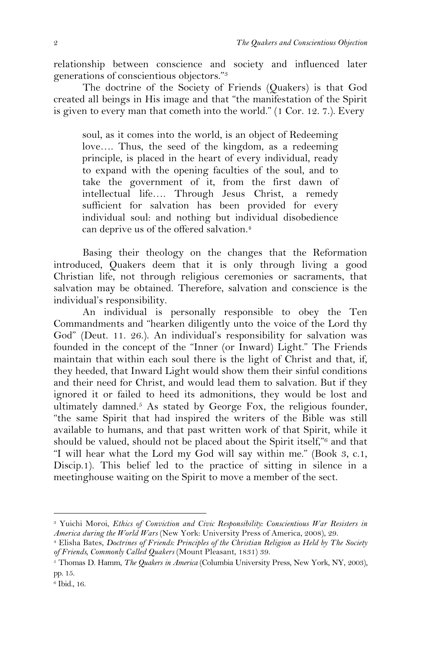relationship between conscience and society and influenced later generations of conscientious objectors."3

The doctrine of the Society of Friends (Quakers) is that God created all beings in His image and that "the manifestation of the Spirit is given to every man that cometh into the world." (1 Cor. 12. 7.). Every

soul, as it comes into the world, is an object of Redeeming love…. Thus, the seed of the kingdom, as a redeeming principle, is placed in the heart of every individual, ready to expand with the opening faculties of the soul, and to take the government of it, from the first dawn of intellectual life…. Through Jesus Christ, a remedy sufficient for salvation has been provided for every individual soul: and nothing but individual disobedience can deprive us of the offered salvation.<sup>4</sup>

Basing their theology on the changes that the Reformation introduced, Quakers deem that it is only through living a good Christian life, not through religious ceremonies or sacraments, that salvation may be obtained. Therefore, salvation and conscience is the individual's responsibility.

An individual is personally responsible to obey the Ten Commandments and "hearken diligently unto the voice of the Lord thy God" (Deut. 11. 26.). An individual's responsibility for salvation was founded in the concept of the "Inner (or Inward) Light." The Friends maintain that within each soul there is the light of Christ and that, if, they heeded, that Inward Light would show them their sinful conditions and their need for Christ, and would lead them to salvation. But if they ignored it or failed to heed its admonitions, they would be lost and ultimately damned. 5 As stated by George Fox, the religious founder, "the same Spirit that had inspired the writers of the Bible was still available to humans, and that past written work of that Spirit, while it should be valued, should not be placed about the Spirit itself,"6 and that "I will hear what the Lord my God will say within me." (Book 3, c.1, Discip.1). This belief led to the practice of sitting in silence in a meetinghouse waiting on the Spirit to move a member of the sect.

<sup>3</sup> Yuichi Moroi, *Ethics of Conviction and Civic Responsibility: Conscientious War Resisters in America during the World Wars* (New York: University Press of America, 2008), 29.

<sup>4</sup> Elisha Bates, *Doctrines of Friends: Principles of the Christian Religion as Held by The Society of Friends, Commonly Called Quakers* (Mount Pleasant, 1831) 39.

<sup>5</sup> Thomas D. Hamm, *The Quakers in America* (Columbia University Press, New York, NY, 2003), pp. 15.

<sup>6</sup> Ibid., 16.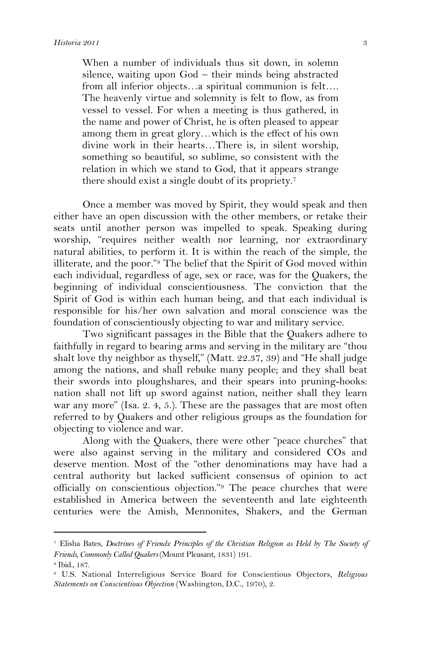When a number of individuals thus sit down, in solemn silence, waiting upon God – their minds being abstracted from all inferior objects…a spiritual communion is felt…. The heavenly virtue and solemnity is felt to flow, as from vessel to vessel. For when a meeting is thus gathered, in the name and power of Christ, he is often pleased to appear among them in great glory…which is the effect of his own divine work in their hearts…There is, in silent worship, something so beautiful, so sublime, so consistent with the relation in which we stand to God, that it appears strange there should exist a single doubt of its propriety. 7

Once a member was moved by Spirit, they would speak and then either have an open discussion with the other members, or retake their seats until another person was impelled to speak. Speaking during worship, "requires neither wealth nor learning, nor extraordinary natural abilities, to perform it. It is within the reach of the simple, the illiterate, and the poor."8 The belief that the Spirit of God moved within each individual, regardless of age, sex or race, was for the Quakers, the beginning of individual conscientiousness. The conviction that the Spirit of God is within each human being, and that each individual is responsible for his/her own salvation and moral conscience was the foundation of conscientiously objecting to war and military service.

Two significant passages in the Bible that the Quakers adhere to faithfully in regard to bearing arms and serving in the military are "thou shalt love thy neighbor as thyself," (Matt. 22.37, 39) and "He shall judge among the nations, and shall rebuke many people; and they shall beat their swords into ploughshares, and their spears into pruning-hooks: nation shall not lift up sword against nation, neither shall they learn war any more" (Isa. 2. 4, 5.). These are the passages that are most often referred to by Quakers and other religious groups as the foundation for objecting to violence and war.

Along with the Quakers, there were other "peace churches" that were also against serving in the military and considered COs and deserve mention. Most of the "other denominations may have had a central authority but lacked sufficient consensus of opinion to act officially on conscientious objection."9 The peace churches that were established in America between the seventeenth and late eighteenth centuries were the Amish, Mennonites, Shakers, and the German

<sup>7</sup> Elisha Bates, *Doctrines of Friends: Principles of the Christian Religion as Held by The Society of Friends, Commonly Called Quakers* (Mount Pleasant, 1831) 191.

<sup>8</sup> Ibid., 187.

<sup>9</sup> U.S. National Interreligious Service Board for Conscientious Objectors, *Religious Statements on Conscientious Objection* (Washington, D.C., 1970), 2.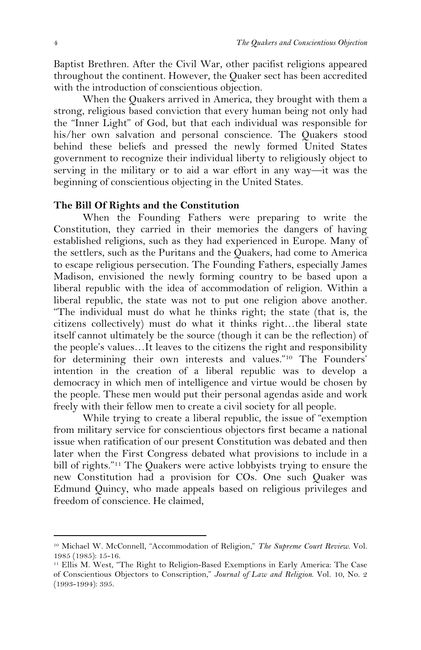Baptist Brethren. After the Civil War, other pacifist religions appeared throughout the continent. However, the Quaker sect has been accredited with the introduction of conscientious objection.

When the Quakers arrived in America, they brought with them a strong, religious based conviction that every human being not only had the "Inner Light" of God, but that each individual was responsible for his/her own salvation and personal conscience. The Quakers stood behind these beliefs and pressed the newly formed United States government to recognize their individual liberty to religiously object to serving in the military or to aid a war effort in any way—it was the beginning of conscientious objecting in the United States.

## **The Bill Of Rights and the Constitution**

When the Founding Fathers were preparing to write the Constitution, they carried in their memories the dangers of having established religions, such as they had experienced in Europe. Many of the settlers, such as the Puritans and the Quakers, had come to America to escape religious persecution. The Founding Fathers, especially James Madison, envisioned the newly forming country to be based upon a liberal republic with the idea of accommodation of religion. Within a liberal republic, the state was not to put one religion above another. "The individual must do what he thinks right; the state (that is, the citizens collectively) must do what it thinks right…the liberal state itself cannot ultimately be the source (though it can be the reflection) of the people's values…It leaves to the citizens the right and responsibility for determining their own interests and values."10 The Founders' intention in the creation of a liberal republic was to develop a democracy in which men of intelligence and virtue would be chosen by the people. These men would put their personal agendas aside and work freely with their fellow men to create a civil society for all people.

While trying to create a liberal republic, the issue of "exemption from military service for conscientious objectors first became a national issue when ratification of our present Constitution was debated and then later when the First Congress debated what provisions to include in a bill of rights."11 The Quakers were active lobbyists trying to ensure the new Constitution had a provision for COs. One such Quaker was Edmund Quincy, who made appeals based on religious privileges and freedom of conscience. He claimed,

<sup>10</sup> Michael W. McConnell, "Accommodation of Religion," *The Supreme Court Review*. Vol. 1985 (1985): 15-16.

<sup>11</sup> Ellis M. West, "The Right to Religion-Based Exemptions in Early America: The Case of Conscientious Objectors to Conscription," *Journal of Law and Religion*. Vol. 10, No. 2 (1993-1994): 395.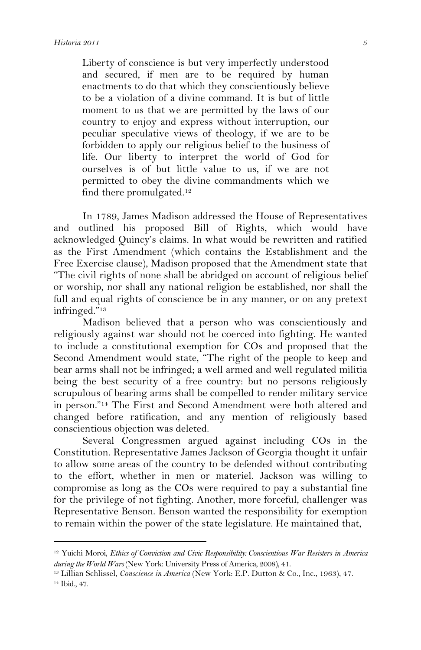$\overline{a}$ 

Liberty of conscience is but very imperfectly understood and secured, if men are to be required by human enactments to do that which they conscientiously believe to be a violation of a divine command. It is but of little moment to us that we are permitted by the laws of our country to enjoy and express without interruption, our peculiar speculative views of theology, if we are to be forbidden to apply our religious belief to the business of life. Our liberty to interpret the world of God for ourselves is of but little value to us, if we are not permitted to obey the divine commandments which we find there promulgated.12

In 1789, James Madison addressed the House of Representatives and outlined his proposed Bill of Rights, which would have acknowledged Quincy's claims. In what would be rewritten and ratified as the First Amendment (which contains the Establishment and the Free Exercise clause), Madison proposed that the Amendment state that "The civil rights of none shall be abridged on account of religious belief or worship, nor shall any national religion be established, nor shall the full and equal rights of conscience be in any manner, or on any pretext infringed."13

Madison believed that a person who was conscientiously and religiously against war should not be coerced into fighting. He wanted to include a constitutional exemption for COs and proposed that the Second Amendment would state, "The right of the people to keep and bear arms shall not be infringed; a well armed and well regulated militia being the best security of a free country: but no persons religiously scrupulous of bearing arms shall be compelled to render military service in person."14 The First and Second Amendment were both altered and changed before ratification, and any mention of religiously based conscientious objection was deleted.

Several Congressmen argued against including COs in the Constitution. Representative James Jackson of Georgia thought it unfair to allow some areas of the country to be defended without contributing to the effort, whether in men or materiel. Jackson was willing to compromise as long as the COs were required to pay a substantial fine for the privilege of not fighting. Another, more forceful, challenger was Representative Benson. Benson wanted the responsibility for exemption to remain within the power of the state legislature. He maintained that,

<sup>12</sup> Yuichi Moroi, *Ethics of Conviction and Civic Responsibility: Conscientious War Resisters in America during the World Wars* (New York: University Press of America, 2008), 41.

<sup>13</sup> Lillian Schlissel, *Conscience in America* (New York: E.P. Dutton & Co., Inc., 1963), 47. 14 Ibid., 47.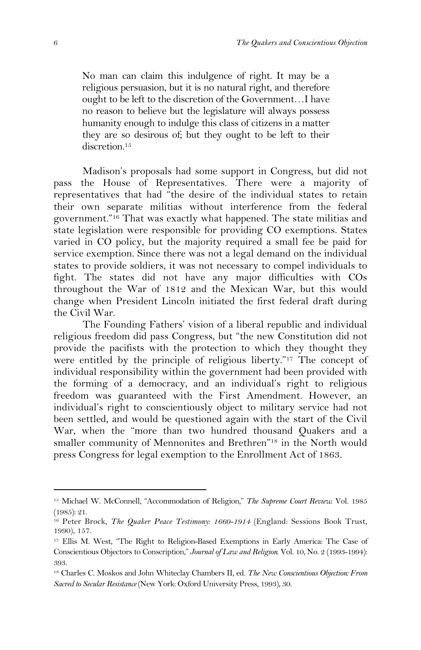No man can claim this indulgence of right. It may be a religious persuasion, but it is no natural right, and therefore ought to be left to the discretion of the Government…I have no reason to believe but the legislature will always possess humanity enough to indulge this class of citizens in a matter they are so desirous of; but they ought to be left to their discretion.<sup>15</sup>

Madison's proposals had some support in Congress, but did not pass the House of Representatives. There were a majority of representatives that had "the desire of the individual states to retain their own separate militias without interference from the federal government."16 That was exactly what happened. The state militias and state legislation were responsible for providing CO exemptions. States varied in CO policy, but the majority required a small fee be paid for service exemption. Since there was not a legal demand on the individual states to provide soldiers, it was not necessary to compel individuals to fight. The states did not have any major difficulties with COs throughout the War of 1812 and the Mexican War, but this would change when President Lincoln initiated the first federal draft during the Civil War.

The Founding Fathers' vision of a liberal republic and individual religious freedom did pass Congress, but "the new Constitution did not provide the pacifists with the protection to which they thought they were entitled by the principle of religious liberty."17 The concept of individual responsibility within the government had been provided with the forming of a democracy, and an individual's right to religious freedom was guaranteed with the First Amendment. However, an individual's right to conscientiously object to military service had not been settled, and would be questioned again with the start of the Civil War, when the "more than two hundred thousand Quakers and a smaller community of Mennonites and Brethren"18 in the North would press Congress for legal exemption to the Enrollment Act of 1863.

<sup>15</sup> Michael W. McConnell, "Accommodation of Religion," *The Supreme Court Review*. Vol. 1985 (1985): 21.

<sup>&</sup>lt;sup>16</sup> Peter Brock, *The Quaker Peace Testimony: 1660-1914* (England: Sessions Book Trust, 1990), 157.

<sup>17</sup> Ellis M. West, "The Right to Religion-Based Exemptions in Early America: The Case of Conscientious Objectors to Conscription," *Journal of Law and Religion*. Vol. 10, No. 2 (1993-1994): 393.

<sup>18</sup> Charles C. Moskos and John Whiteclay Chambers II, ed. *The New Conscientious Objection: From Sacred to Secular Resistance* (New York: Oxford University Press, 1993), 30.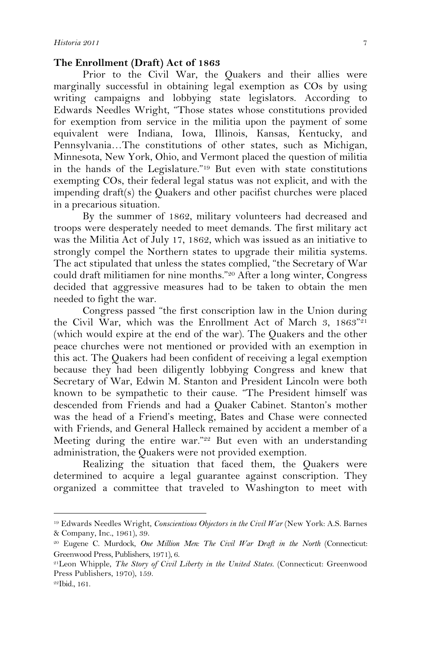#### **The Enrollment (Draft) Act of 1863**

Prior to the Civil War, the Quakers and their allies were marginally successful in obtaining legal exemption as COs by using writing campaigns and lobbying state legislators. According to Edwards Needles Wright, "Those states whose constitutions provided for exemption from service in the militia upon the payment of some equivalent were Indiana, Iowa, Illinois, Kansas, Kentucky, and Pennsylvania…The constitutions of other states, such as Michigan, Minnesota, New York, Ohio, and Vermont placed the question of militia in the hands of the Legislature."19 But even with state constitutions exempting COs, their federal legal status was not explicit, and with the impending draft(s) the Quakers and other pacifist churches were placed in a precarious situation.

By the summer of 1862, military volunteers had decreased and troops were desperately needed to meet demands. The first military act was the Militia Act of July 17, 1862, which was issued as an initiative to strongly compel the Northern states to upgrade their militia systems. The act stipulated that unless the states complied, "the Secretary of War could draft militiamen for nine months."<sup>20</sup> After a long winter, Congress decided that aggressive measures had to be taken to obtain the men needed to fight the war.

Congress passed "the first conscription law in the Union during the Civil War, which was the Enrollment Act of March 3, 1863"21 (which would expire at the end of the war). The Quakers and the other peace churches were not mentioned or provided with an exemption in this act. The Quakers had been confident of receiving a legal exemption because they had been diligently lobbying Congress and knew that Secretary of War, Edwin M. Stanton and President Lincoln were both known to be sympathetic to their cause. "The President himself was descended from Friends and had a Quaker Cabinet. Stanton's mother was the head of a Friend's meeting, Bates and Chase were connected with Friends, and General Halleck remained by accident a member of a Meeting during the entire war."<sup>22</sup> But even with an understanding administration, the Quakers were not provided exemption.

Realizing the situation that faced them, the Quakers were determined to acquire a legal guarantee against conscription. They organized a committee that traveled to Washington to meet with

<sup>19</sup> Edwards Needles Wright, *Conscientious Objectors in the Civil War* (New York: A.S. Barnes & Company, Inc., 1961), 39.

<sup>20</sup> Eugene C. Murdock, *One Million Men: The Civil War Draft in the North* (Connecticut: Greenwood Press, Publishers, 1971), 6.

<sup>21</sup>Leon Whipple, *The Story of Civil Liberty in the United States.* (Connecticut: Greenwood Press Publishers, 1970), 159.

<sup>22</sup>Ibid., 161.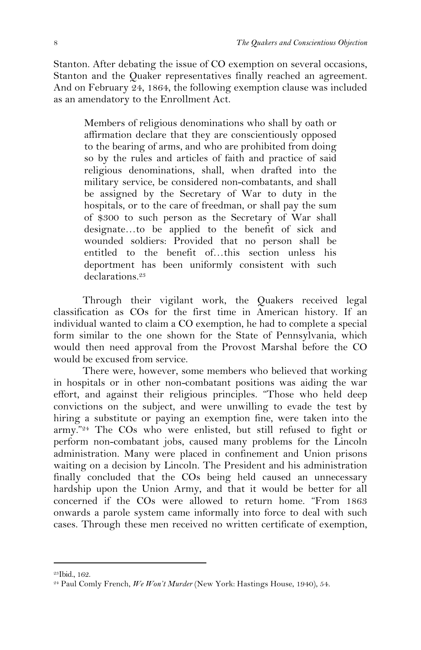Stanton. After debating the issue of CO exemption on several occasions, Stanton and the Quaker representatives finally reached an agreement. And on February 24, 1864, the following exemption clause was included as an amendatory to the Enrollment Act.

Members of religious denominations who shall by oath or affirmation declare that they are conscientiously opposed to the bearing of arms, and who are prohibited from doing so by the rules and articles of faith and practice of said religious denominations, shall, when drafted into the military service, be considered non-combatants, and shall be assigned by the Secretary of War to duty in the hospitals, or to the care of freedman, or shall pay the sum of \$300 to such person as the Secretary of War shall designate…to be applied to the benefit of sick and wounded soldiers: Provided that no person shall be entitled to the benefit of…this section unless his deportment has been uniformly consistent with such declarations.<sup>23</sup>

Through their vigilant work, the Quakers received legal classification as COs for the first time in American history. If an individual wanted to claim a CO exemption, he had to complete a special form similar to the one shown for the State of Pennsylvania, which would then need approval from the Provost Marshal before the CO would be excused from service.

There were, however, some members who believed that working in hospitals or in other non-combatant positions was aiding the war effort, and against their religious principles. "Those who held deep convictions on the subject, and were unwilling to evade the test by hiring a substitute or paying an exemption fine, were taken into the army."24 The COs who were enlisted, but still refused to fight or perform non-combatant jobs, caused many problems for the Lincoln administration. Many were placed in confinement and Union prisons waiting on a decision by Lincoln. The President and his administration finally concluded that the COs being held caused an unnecessary hardship upon the Union Army, and that it would be better for all concerned if the COs were allowed to return home. "From 1863 onwards a parole system came informally into force to deal with such cases. Through these men received no written certificate of exemption,

<sup>23</sup>Ibid., 162.

<sup>24</sup> Paul Comly French, *We Won't Murder* (New York: Hastings House, 1940), 54.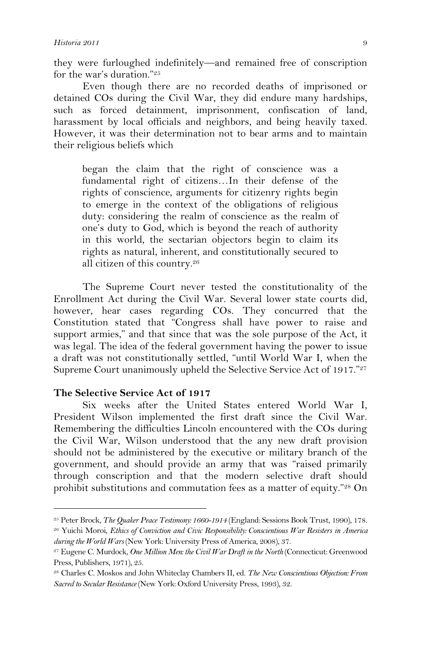they were furloughed indefinitely—and remained free of conscription for the war's duration."25

Even though there are no recorded deaths of imprisoned or detained COs during the Civil War, they did endure many hardships, such as forced detainment, imprisonment, confiscation of land, harassment by local officials and neighbors, and being heavily taxed. However, it was their determination not to bear arms and to maintain their religious beliefs which

began the claim that the right of conscience was a fundamental right of citizens…In their defense of the rights of conscience, arguments for citizenry rights begin to emerge in the context of the obligations of religious duty: considering the realm of conscience as the realm of one's duty to God, which is beyond the reach of authority in this world, the sectarian objectors begin to claim its rights as natural, inherent, and constitutionally secured to all citizen of this country. 26

The Supreme Court never tested the constitutionality of the Enrollment Act during the Civil War. Several lower state courts did, however, hear cases regarding COs. They concurred that the Constitution stated that "Congress shall have power to raise and support armies," and that since that was the sole purpose of the Act, it was legal. The idea of the federal government having the power to issue a draft was not constitutionally settled, "until World War I, when the Supreme Court unanimously upheld the Selective Service Act of 1917."27

### **The Selective Service Act of 1917**

 $\overline{a}$ 

Six weeks after the United States entered World War I, President Wilson implemented the first draft since the Civil War. Remembering the difficulties Lincoln encountered with the COs during the Civil War, Wilson understood that the any new draft provision should not be administered by the executive or military branch of the government, and should provide an army that was "raised primarily through conscription and that the modern selective draft should prohibit substitutions and commutation fees as a matter of equity."28 On

<sup>25</sup> Peter Brock, *The Quaker Peace Testimony: 1660-1914* (England: Sessions Book Trust, 1990), 178.

<sup>26</sup> Yuichi Moroi, *Ethics of Conviction and Civic Responsibility: Conscientious War Resisters in America during the World Wars* (New York: University Press of America, 2008), 37.

<sup>27</sup> Eugene C. Murdock, *One Million Men: the Civil War Draft in the North* (Connecticut: Greenwood Press, Publishers, 1971), 25.

<sup>28</sup> Charles C. Moskos and John Whiteclay Chambers II, ed. *The New Conscientious Objection: From Sacred to Secular Resistance* (New York: Oxford University Press, 1993), 32.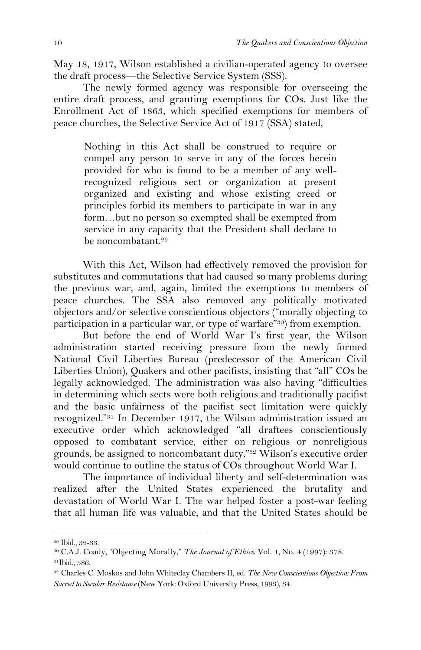May 18, 1917, Wilson established a civilian-operated agency to oversee the draft process—the Selective Service System (SSS).

The newly formed agency was responsible for overseeing the entire draft process, and granting exemptions for COs. Just like the Enrollment Act of 1863, which specified exemptions for members of peace churches, the Selective Service Act of 1917 (SSA) stated,

Nothing in this Act shall be construed to require or compel any person to serve in any of the forces herein provided for who is found to be a member of any wellrecognized religious sect or organization at present organized and existing and whose existing creed or principles forbid its members to participate in war in any form…but no person so exempted shall be exempted from service in any capacity that the President shall declare to be noncombatant. 29

With this Act, Wilson had effectively removed the provision for substitutes and commutations that had caused so many problems during the previous war, and, again, limited the exemptions to members of peace churches. The SSA also removed any politically motivated objectors and/or selective conscientious objectors ("morally objecting to participation in a particular war, or type of warfare"30) from exemption.

But before the end of World War I's first year, the Wilson administration started receiving pressure from the newly formed National Civil Liberties Bureau (predecessor of the American Civil Liberties Union), Quakers and other pacifists, insisting that "all" COs be legally acknowledged. The administration was also having "difficulties in determining which sects were both religious and traditionally pacifist and the basic unfairness of the pacifist sect limitation were quickly recognized."31 In December 1917, the Wilson administration issued an executive order which acknowledged "all draftees conscientiously opposed to combatant service, either on religious or nonreligious grounds, be assigned to noncombatant duty."32 Wilson's executive order would continue to outline the status of COs throughout World War I.

The importance of individual liberty and self-determination was realized after the United States experienced the brutality and devastation of World War I. The war helped foster a post-war feeling that all human life was valuable, and that the United States should be

<sup>29</sup> Ibid., 32-33.

<sup>30</sup> C.A.J. Coady, "Objecting Morally," *The Journal of Ethics*. Vol. 1, No. 4 (1997): 378.

<sup>31</sup>Ibid., 586.

<sup>32</sup> Charles C. Moskos and John Whiteclay Chambers II, ed. *The New Conscientious Objection: From Sacred to Secular Resistance* (New York: Oxford University Press, 1993), 34.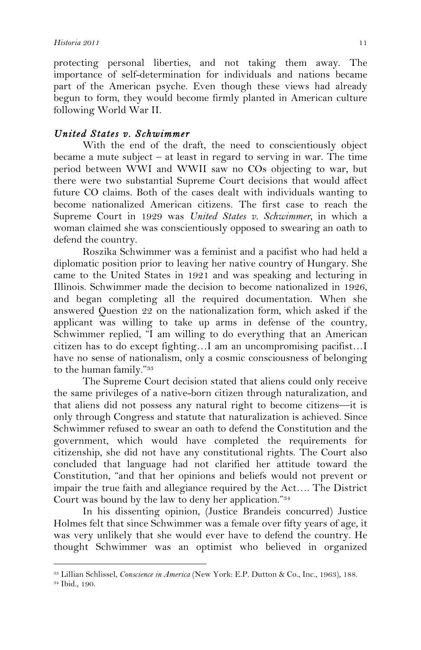$\overline{a}$ 

protecting personal liberties, and not taking them away. The importance of self-determination for individuals and nations became part of the American psyche. Even though these views had already begun to form, they would become firmly planted in American culture following World War II.

# *United States v. Schwimmer*

With the end of the draft, the need to conscientiously object became a mute subject – at least in regard to serving in war. The time period between WWI and WWII saw no COs objecting to war, but there were two substantial Supreme Court decisions that would affect future CO claims. Both of the cases dealt with individuals wanting to become nationalized American citizens. The first case to reach the Supreme Court in 1929 was *United States v. Schwimmer,* in which a woman claimed she was conscientiously opposed to swearing an oath to defend the country.

Roszika Schwimmer was a feminist and a pacifist who had held a diplomatic position prior to leaving her native country of Hungary. She came to the United States in 1921 and was speaking and lecturing in Illinois. Schwimmer made the decision to become nationalized in 1926, and began completing all the required documentation. When she answered Question 22 on the nationalization form, which asked if the applicant was willing to take up arms in defense of the country, Schwimmer replied, "I am willing to do everything that an American citizen has to do except fighting…I am an uncompromising pacifist…I have no sense of nationalism, only a cosmic consciousness of belonging to the human family."33

The Supreme Court decision stated that aliens could only receive the same privileges of a native-born citizen through naturalization, and that aliens did not possess any natural right to become citizens—it is only through Congress and statute that naturalization is achieved. Since Schwimmer refused to swear an oath to defend the Constitution and the government, which would have completed the requirements for citizenship, she did not have any constitutional rights. The Court also concluded that language had not clarified her attitude toward the Constitution, "and that her opinions and beliefs would not prevent or impair the true faith and allegiance required by the Act…. The District Court was bound by the law to deny her application."34

In his dissenting opinion, (Justice Brandeis concurred) Justice Holmes felt that since Schwimmer was a female over fifty years of age, it was very unlikely that she would ever have to defend the country. He thought Schwimmer was an optimist who believed in organized

<sup>33</sup> Lillian Schlissel, *Conscience in America* (New York: E.P. Dutton & Co., Inc., 1963), 188. 34 Ibid., 190.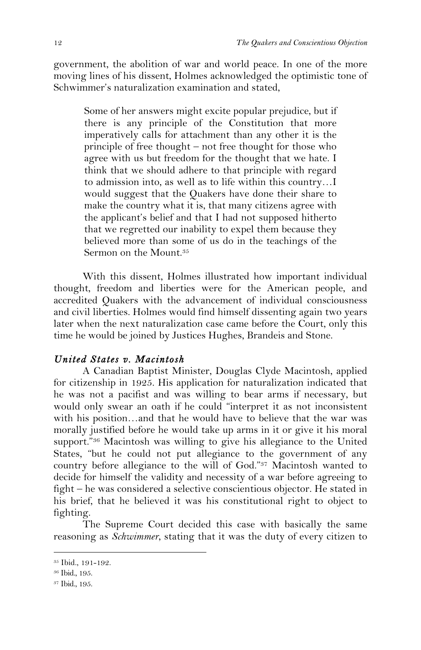government, the abolition of war and world peace. In one of the more moving lines of his dissent, Holmes acknowledged the optimistic tone of Schwimmer's naturalization examination and stated,

Some of her answers might excite popular prejudice, but if there is any principle of the Constitution that more imperatively calls for attachment than any other it is the principle of free thought – not free thought for those who agree with us but freedom for the thought that we hate. I think that we should adhere to that principle with regard to admission into, as well as to life within this country…I would suggest that the Quakers have done their share to make the country what it is, that many citizens agree with the applicant's belief and that I had not supposed hitherto that we regretted our inability to expel them because they believed more than some of us do in the teachings of the Sermon on the Mount. 35

With this dissent, Holmes illustrated how important individual thought, freedom and liberties were for the American people, and accredited Quakers with the advancement of individual consciousness and civil liberties. Holmes would find himself dissenting again two years later when the next naturalization case came before the Court, only this time he would be joined by Justices Hughes, Brandeis and Stone.

# *United States v. Macintosh*

A Canadian Baptist Minister, Douglas Clyde Macintosh, applied for citizenship in 1925. His application for naturalization indicated that he was not a pacifist and was willing to bear arms if necessary, but would only swear an oath if he could "interpret it as not inconsistent with his position…and that he would have to believe that the war was morally justified before he would take up arms in it or give it his moral support."<sup>36</sup> Macintosh was willing to give his allegiance to the United States, "but he could not put allegiance to the government of any country before allegiance to the will of God."37 Macintosh wanted to decide for himself the validity and necessity of a war before agreeing to fight – he was considered a selective conscientious objector. He stated in his brief, that he believed it was his constitutional right to object to fighting.

The Supreme Court decided this case with basically the same reasoning as *Schwimmer*, stating that it was the duty of every citizen to

<sup>35</sup> Ibid., 191-192.

<sup>36</sup> Ibid., 195.

<sup>37</sup> Ibid., 195.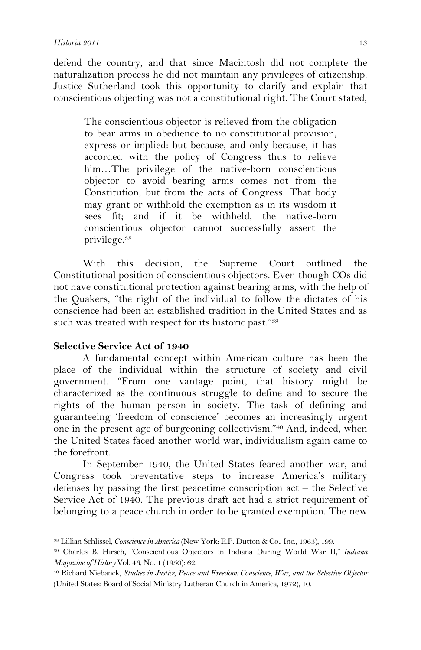defend the country, and that since Macintosh did not complete the naturalization process he did not maintain any privileges of citizenship. Justice Sutherland took this opportunity to clarify and explain that conscientious objecting was not a constitutional right. The Court stated,

The conscientious objector is relieved from the obligation to bear arms in obedience to no constitutional provision, express or implied: but because, and only because, it has accorded with the policy of Congress thus to relieve him…The privilege of the native-born conscientious objector to avoid bearing arms comes not from the Constitution, but from the acts of Congress. That body may grant or withhold the exemption as in its wisdom it sees fit; and if it be withheld, the native-born conscientious objector cannot successfully assert the privilege. 38

With this decision, the Supreme Court outlined the Constitutional position of conscientious objectors. Even though COs did not have constitutional protection against bearing arms, with the help of the Quakers, "the right of the individual to follow the dictates of his conscience had been an established tradition in the United States and as such was treated with respect for its historic past."39

### **Selective Service Act of 1940**

 $\overline{a}$ 

A fundamental concept within American culture has been the place of the individual within the structure of society and civil government. "From one vantage point, that history might be characterized as the continuous struggle to define and to secure the rights of the human person in society. The task of defining and guaranteeing 'freedom of conscience' becomes an increasingly urgent one in the present age of burgeoning collectivism."40 And, indeed, when the United States faced another world war, individualism again came to the forefront.

In September 1940, the United States feared another war, and Congress took preventative steps to increase America's military defenses by passing the first peacetime conscription act – the Selective Service Act of 1940. The previous draft act had a strict requirement of belonging to a peace church in order to be granted exemption. The new

<sup>38</sup> Lillian Schlissel, *Conscience in America* (New York: E.P. Dutton & Co., Inc., 1963), 199.

<sup>39</sup> Charles B. Hirsch, "Conscientious Objectors in Indiana During World War II," *Indiana Magazine of History* Vol. 46, No. 1 (1950): 62.

<sup>40</sup> Richard Niebanck, *Studies in Justice, Peace and Freedom: Conscience, War, and the Selective Objector* (United States: Board of Social Ministry Lutheran Church in America, 1972), 10.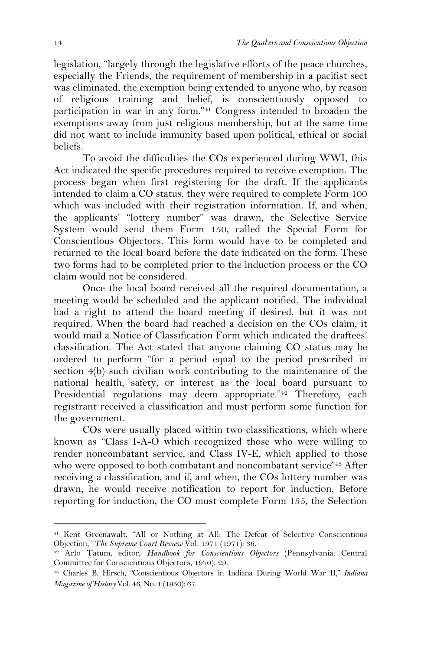legislation, "largely through the legislative efforts of the peace churches, especially the Friends, the requirement of membership in a pacifist sect was eliminated, the exemption being extended to anyone who, by reason of religious training and belief, is conscientiously opposed to participation in war in any form."41 Congress intended to broaden the exemptions away from just religious membership, but at the same time did not want to include immunity based upon political, ethical or social beliefs.

To avoid the difficulties the COs experienced during WWI, this Act indicated the specific procedures required to receive exemption. The process began when first registering for the draft. If the applicants intended to claim a CO status, they were required to complete Form 100 which was included with their registration information. If, and when, the applicants' "lottery number" was drawn, the Selective Service System would send them Form 150, called the Special Form for Conscientious Objectors. This form would have to be completed and returned to the local board before the date indicated on the form. These two forms had to be completed prior to the induction process or the CO claim would not be considered.

Once the local board received all the required documentation, a meeting would be scheduled and the applicant notified. The individual had a right to attend the board meeting if desired, but it was not required. When the board had reached a decision on the COs claim, it would mail a Notice of Classification Form which indicated the draftees' classification. The Act stated that anyone claiming CO status may be ordered to perform "for a period equal to the period prescribed in section 4(b) such civilian work contributing to the maintenance of the national health, safety, or interest as the local board pursuant to Presidential regulations may deem appropriate."42 Therefore, each registrant received a classification and must perform some function for the government.

COs were usually placed within two classifications, which where known as "Class I-A-O which recognized those who were willing to render noncombatant service, and Class IV-E, which applied to those who were opposed to both combatant and noncombatant service"43 After receiving a classification, and if, and when, the COs lottery number was drawn, he would receive notification to report for induction. Before reporting for induction, the CO must complete Form 155, the Selection

<sup>41</sup> Kent Greenawalt, "All or Nothing at All: The Defeat of Selective Conscientious Objection," *The Supreme Court Review* Vol. 1971 (1971): 36.

<sup>42</sup> Arlo Tatum, editor, *Handbook for Conscientious Objectors* (Pennsylvania: Central Committee for Conscientious Objectors, 1970), 29.

<sup>43</sup> Charles B. Hirsch, "Conscientious Objectors in Indiana During World War II," *Indiana Magazine of History* Vol. 46, No. 1 (1950): 67.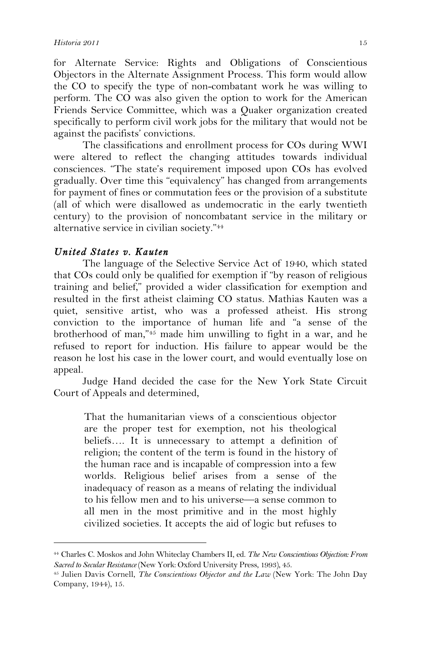for Alternate Service: Rights and Obligations of Conscientious Objectors in the Alternate Assignment Process. This form would allow the CO to specify the type of non-combatant work he was willing to perform. The CO was also given the option to work for the American Friends Service Committee, which was a Quaker organization created specifically to perform civil work jobs for the military that would not be against the pacifists' convictions.

The classifications and enrollment process for COs during WWI were altered to reflect the changing attitudes towards individual consciences. "The state's requirement imposed upon COs has evolved gradually. Over time this "equivalency" has changed from arrangements for payment of fines or commutation fees or the provision of a substitute (all of which were disallowed as undemocratic in the early twentieth century) to the provision of noncombatant service in the military or alternative service in civilian society."44

## *United States v. Kauten*

 $\overline{a}$ 

The language of the Selective Service Act of 1940, which stated that COs could only be qualified for exemption if "by reason of religious training and belief," provided a wider classification for exemption and resulted in the first atheist claiming CO status. Mathias Kauten was a quiet, sensitive artist, who was a professed atheist. His strong conviction to the importance of human life and "a sense of the brotherhood of man,"45 made him unwilling to fight in a war, and he refused to report for induction. His failure to appear would be the reason he lost his case in the lower court, and would eventually lose on appeal.

Judge Hand decided the case for the New York State Circuit Court of Appeals and determined,

That the humanitarian views of a conscientious objector are the proper test for exemption, not his theological beliefs…. It is unnecessary to attempt a definition of religion; the content of the term is found in the history of the human race and is incapable of compression into a few worlds. Religious belief arises from a sense of the inadequacy of reason as a means of relating the individual to his fellow men and to his universe—a sense common to all men in the most primitive and in the most highly civilized societies. It accepts the aid of logic but refuses to

<sup>44</sup> Charles C. Moskos and John Whiteclay Chambers II, ed. *The New Conscientious Objection: From Sacred to Secular Resistance* (New York: Oxford University Press, 1993), 45.

<sup>45</sup> Julien Davis Cornell, *The Conscientious Objector and the Law* (New York: The John Day Company, 1944), 15.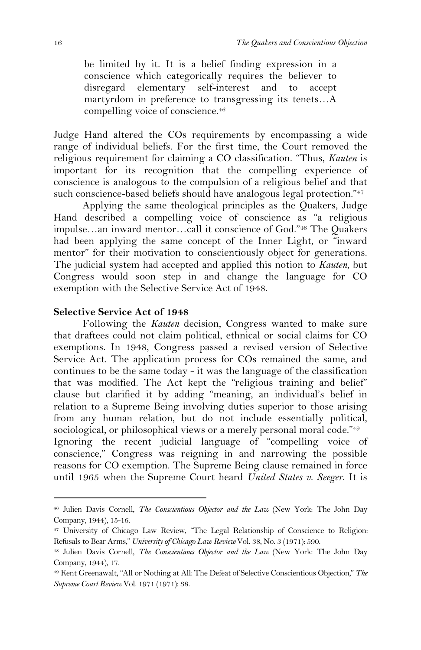be limited by it. It is a belief finding expression in a conscience which categorically requires the believer to disregard elementary self-interest and to accept martyrdom in preference to transgressing its tenets…A compelling voice of conscience.46

Judge Hand altered the COs requirements by encompassing a wide range of individual beliefs. For the first time, the Court removed the religious requirement for claiming a CO classification. "Thus, *Kauten* is important for its recognition that the compelling experience of conscience is analogous to the compulsion of a religious belief and that such conscience-based beliefs should have analogous legal protection."<sup>47</sup>

Applying the same theological principles as the Quakers, Judge Hand described a compelling voice of conscience as "a religious impulse…an inward mentor…call it conscience of God."48 The Quakers had been applying the same concept of the Inner Light, or "inward mentor" for their motivation to conscientiously object for generations. The judicial system had accepted and applied this notion to *Kauten*, but Congress would soon step in and change the language for CO exemption with the Selective Service Act of 1948.

## **Selective Service Act of 1948**

Following the *Kauten* decision, Congress wanted to make sure that draftees could not claim political, ethnical or social claims for CO exemptions. In 1948, Congress passed a revised version of Selective Service Act. The application process for COs remained the same, and continues to be the same today - it was the language of the classification that was modified. The Act kept the "religious training and belief" clause but clarified it by adding "meaning, an individual's belief in relation to a Supreme Being involving duties superior to those arising from any human relation, but do not include essentially political, sociological, or philosophical views or a merely personal moral code."<sup>49</sup> Ignoring the recent judicial language of "compelling voice of conscience," Congress was reigning in and narrowing the possible reasons for CO exemption. The Supreme Being clause remained in force until 1965 when the Supreme Court heard *United States v. Seeger*. It is

<sup>46</sup> Julien Davis Cornell, *The Conscientious Objector and the Law* (New York: The John Day Company, 1944), 15-16.

<sup>47</sup> University of Chicago Law Review, "The Legal Relationship of Conscience to Religion: Refusals to Bear Arms," *University of Chicago Law Review* Vol. 38, No. 3 (1971): 590.

<sup>48</sup> Julien Davis Cornell, *The Conscientious Objector and the Law* (New York: The John Day Company, 1944), 17.

<sup>49</sup> Kent Greenawalt, "All or Nothing at All: The Defeat of Selective Conscientious Objection," *The Supreme Court Review* Vol. 1971 (1971): 38.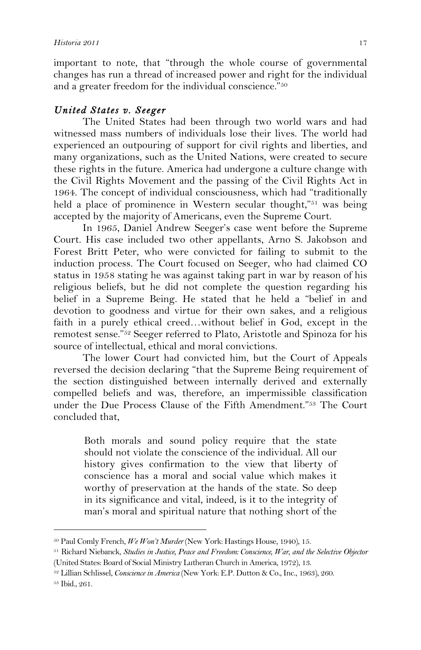important to note, that "through the whole course of governmental changes has run a thread of increased power and right for the individual and a greater freedom for the individual conscience."50

# *United States v. Seeger*

The United States had been through two world wars and had witnessed mass numbers of individuals lose their lives. The world had experienced an outpouring of support for civil rights and liberties, and many organizations, such as the United Nations, were created to secure these rights in the future. America had undergone a culture change with the Civil Rights Movement and the passing of the Civil Rights Act in 1964. The concept of individual consciousness, which had "traditionally held a place of prominence in Western secular thought,"<sup>51</sup> was being accepted by the majority of Americans, even the Supreme Court.

In 1965, Daniel Andrew Seeger's case went before the Supreme Court. His case included two other appellants, Arno S. Jakobson and Forest Britt Peter, who were convicted for failing to submit to the induction process. The Court focused on Seeger, who had claimed CO status in 1958 stating he was against taking part in war by reason of his religious beliefs, but he did not complete the question regarding his belief in a Supreme Being. He stated that he held a "belief in and devotion to goodness and virtue for their own sakes, and a religious faith in a purely ethical creed…without belief in God, except in the remotest sense."52 Seeger referred to Plato, Aristotle and Spinoza for his source of intellectual, ethical and moral convictions.

The lower Court had convicted him, but the Court of Appeals reversed the decision declaring "that the Supreme Being requirement of the section distinguished between internally derived and externally compelled beliefs and was, therefore, an impermissible classification under the Due Process Clause of the Fifth Amendment."53 The Court concluded that,

Both morals and sound policy require that the state should not violate the conscience of the individual. All our history gives confirmation to the view that liberty of conscience has a moral and social value which makes it worthy of preservation at the hands of the state. So deep in its significance and vital, indeed, is it to the integrity of man's moral and spiritual nature that nothing short of the

<sup>50</sup> Paul Comly French, *We Won't Murder* (New York: Hastings House, 1940), 15.

<sup>51</sup> Richard Niebanck, *Studies in Justice, Peace and Freedom: Conscience, War, and the Selective Objector* (United States: Board of Social Ministry Lutheran Church in America, 1972), 13.

<sup>52</sup> Lillian Schlissel, *Conscience in America* (New York: E.P. Dutton & Co., Inc., 1963), 260.

<sup>53</sup> Ibid., 261.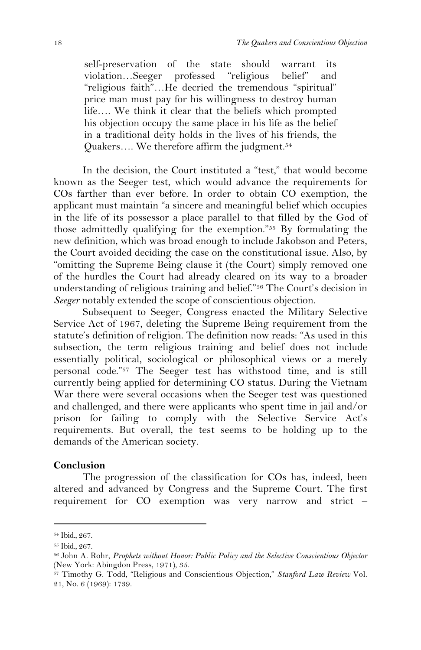self-preservation of the state should warrant its violation…Seeger professed "religious belief" and "religious faith"…He decried the tremendous "spiritual" price man must pay for his willingness to destroy human life…. We think it clear that the beliefs which prompted his objection occupy the same place in his life as the belief in a traditional deity holds in the lives of his friends, the Quakers…. We therefore affirm the judgment.54

In the decision, the Court instituted a "test," that would become known as the Seeger test, which would advance the requirements for COs farther than ever before. In order to obtain CO exemption, the applicant must maintain "a sincere and meaningful belief which occupies in the life of its possessor a place parallel to that filled by the God of those admittedly qualifying for the exemption."55 By formulating the new definition, which was broad enough to include Jakobson and Peters, the Court avoided deciding the case on the constitutional issue. Also, by "omitting the Supreme Being clause it (the Court) simply removed one of the hurdles the Court had already cleared on its way to a broader understanding of religious training and belief."56 The Court's decision in *Seeger* notably extended the scope of conscientious objection.

Subsequent to Seeger, Congress enacted the Military Selective Service Act of 1967, deleting the Supreme Being requirement from the statute's definition of religion. The definition now reads: "As used in this subsection, the term religious training and belief does not include essentially political, sociological or philosophical views or a merely personal code."57 The Seeger test has withstood time, and is still currently being applied for determining CO status. During the Vietnam War there were several occasions when the Seeger test was questioned and challenged, and there were applicants who spent time in jail and/or prison for failing to comply with the Selective Service Act's requirements. But overall, the test seems to be holding up to the demands of the American society.

### **Conclusion**

The progression of the classification for COs has, indeed, been altered and advanced by Congress and the Supreme Court. The first requirement for CO exemption was very narrow and strict –

<sup>54</sup> Ibid., 267.

<sup>55</sup> Ibid., 267.

<sup>56</sup> John A. Rohr, *Prophets without Honor: Public Policy and the Selective Conscientious Objector* (New York: Abingdon Press, 1971), 35.

<sup>57</sup> Timothy G. Todd, "Religious and Conscientious Objection," *Stanford Law Review* Vol. 21, No. 6 (1969): 1739.